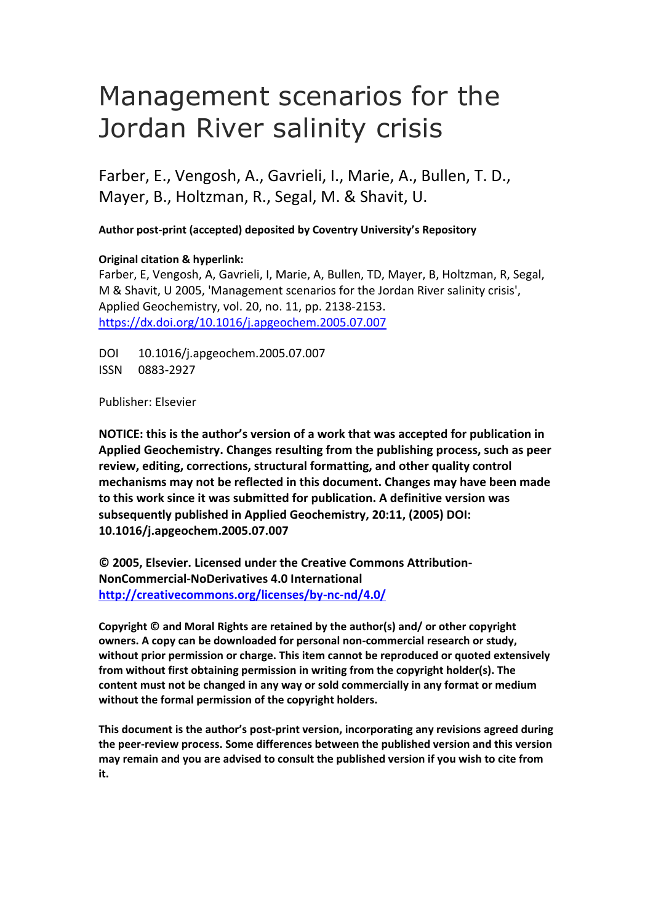# Management scenarios for the Jordan River salinity crisis

Farber, E., Vengosh, A., Gavrieli, I., Marie, A., Bullen, T. D., Mayer, B., Holtzman, R., Segal, M. & Shavit, U.

**Author post-print (accepted) deposited by Coventry University's Repository**

### **Original citation & hyperlink:**

Farber, E, Vengosh, A, Gavrieli, I, Marie, A, Bullen, TD, Mayer, B, Holtzman, R, Segal, M & Shavit, U 2005, 'Management scenarios for the Jordan River salinity crisis', Applied Geochemistry, vol. 20, no. 11, pp. 2138-2153. <https://dx.doi.org/10.1016/j.apgeochem.2005.07.007>

DOI 10.1016/j.apgeochem.2005.07.007 ISSN 0883-2927

Publisher: Elsevier

**NOTICE: this is the author's version of a work that was accepted for publication in Applied Geochemistry. Changes resulting from the publishing process, such as peer review, editing, corrections, structural formatting, and other quality control mechanisms may not be reflected in this document. Changes may have been made to this work since it was submitted for publication. A definitive version was subsequently published in Applied Geochemistry, 20:11, (2005) DOI: 10.1016/j.apgeochem.2005.07.007** 

**© 2005, Elsevier. Licensed under the Creative Commons Attribution-NonCommercial-NoDerivatives 4.0 International <http://creativecommons.org/licenses/by-nc-nd/4.0/>**

**Copyright © and Moral Rights are retained by the author(s) and/ or other copyright owners. A copy can be downloaded for personal non-commercial research or study, without prior permission or charge. This item cannot be reproduced or quoted extensively from without first obtaining permission in writing from the copyright holder(s). The content must not be changed in any way or sold commercially in any format or medium without the formal permission of the copyright holders.** 

**This document is the author's post-print version, incorporating any revisions agreed during the peer-review process. Some differences between the published version and this version may remain and you are advised to consult the published version if you wish to cite from it.**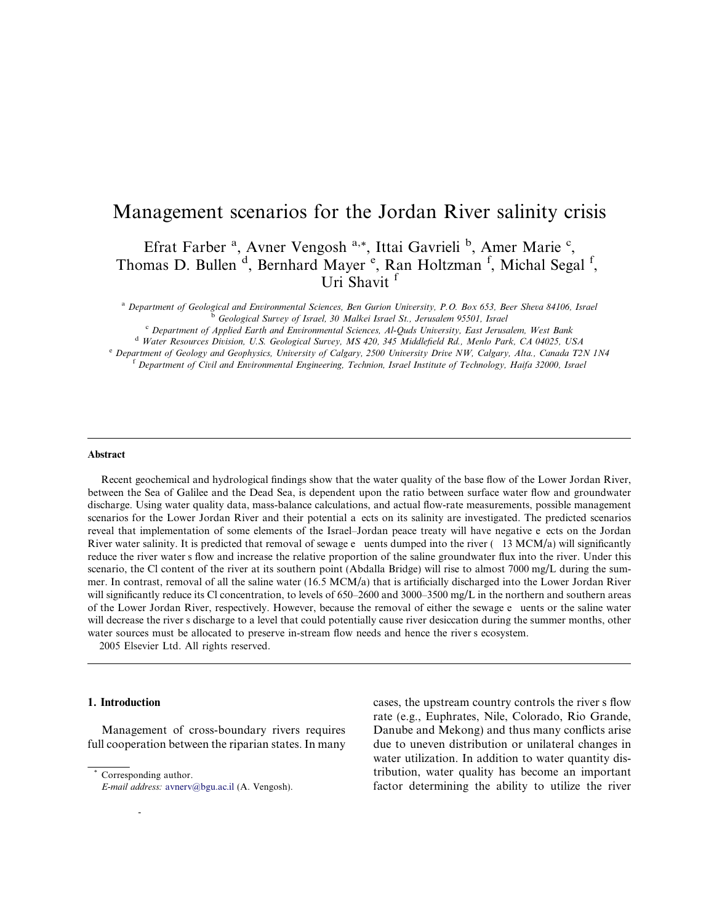## Management scenarios for the Jordan River salinity crisis

Efrat Farber<sup>a</sup>, Avner Vengosh<sup>a,\*</sup>, Ittai Gavrieli<sup>b</sup>, Amer Marie<sup>c</sup>, Thomas D. Bullen<sup>d</sup>, Bernhard Mayer<sup>e</sup>, Ran Holtzman<sup>f</sup>, Michal Segal<sup>f</sup>, Uri Shavit <sup>f</sup>

a Department of Geological and Environmental Sciences, Ben Gurion University, P.O. Box 653, Beer Sheva 84106, Israel<br>
<sup>6</sup> Geological Survey of Israel, 30 Malkei Israel St., Jerusalem 95501, Israel<br>
<sup>6</sup> Department of Appli

#### Abstract

 scenarios for the Lower Jordan River and their potential a ects on its salinity are investigated. The predicted scenarios reveal that implementation of some elements of the Israel–Jordan peace treaty will have negative e ects on the Jordan River water salinity. It is predicted that removal of sewage e uents dumped into the river ( 13 MCM/a) will significantly reduce the river water s flow and increase the relative proportion of the saline groundwater flux into the river. Under this of the Lower Jordan River, respectively. However, because the removal of either the sewage e uents or the saline water will decrease the river s discharge to a level that could potentially cause river desiccation during the summer months, other water sources must be allocated to preserve in-stream flow needs and hence the river s ecosystem. Recent geochemical and hydrological findings show that the water quality of the base flow of the Lower Jordan River, between the Sea of Galilee and the Dead Sea, is dependent upon the ratio between surface water flow and groundwater discharge. Using water quality data, mass-balance calculations, and actual flow-rate measurements, possible management scenario, the Cl content of the river at its southern point (Abdalla Bridge) will rise to almost 7000 mg/L during the summer. In contrast, removal of all the saline water (16.5 MCM/a) that is artificially discharged into the Lower Jordan River will significantly reduce its Cl concentration, to levels of 650–2600 and 3000–3500 mg/L in the northern and southern areas

2005 Elsevier Ltd. All rights reserved.

#### 1. Introduction

Management of cross-boundary rivers requires full cooperation between the riparian states. In many

0883-2927/\$ see front matter 2005 Elsevier Ltd. All rights reserved.

-

 cases, the upstream country controls the river s flow rate (e.g., Euphrates, Nile, Colorado, Rio Grande, Danube and Mekong) and thus many conflicts arise due to uneven distribution or unilateral changes in water utilization. In addition to water quantity distribution, water quality has become an important factor determining the ability to utilize the river

Corresponding author.

E-mail address: avnerv@bgu.ac.il (A. Vengosh).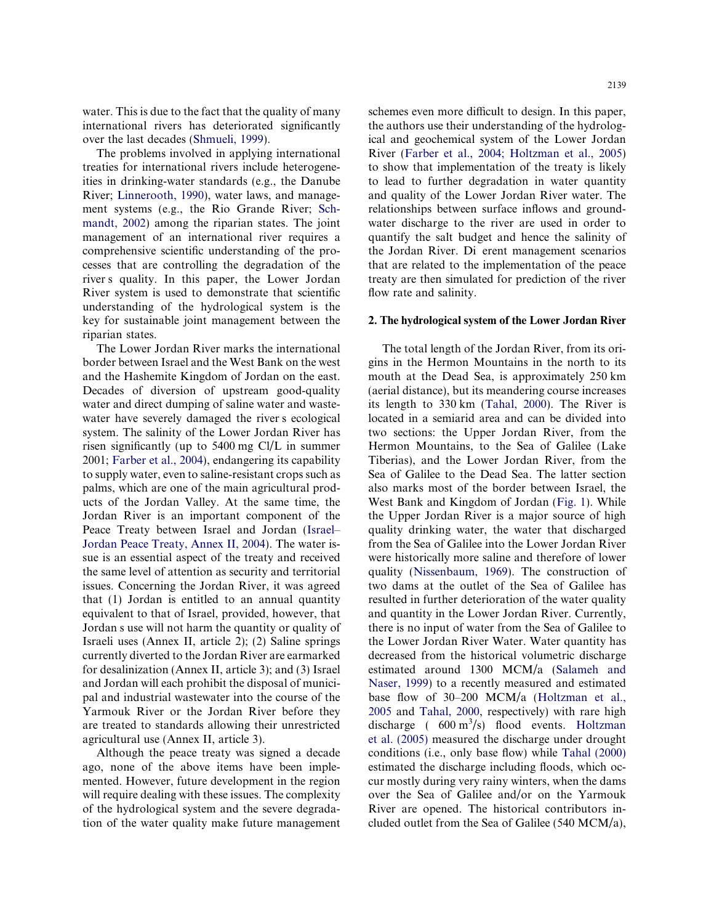water. This is due to the fact that the quality of many international rivers has deteriorated significantly over the last decades (Shmueli, 1999).

 river s quality. In this paper, the Lower Jordan The problems involved in applying international treaties for international rivers include heterogeneities in drinking-water standards (e.g., the Danube River; Linnerooth, 1990), water laws, and management systems (e.g., the Rio Grande River; Schmandt, 2002) among the riparian states. The joint management of an international river requires a comprehensive scientific understanding of the processes that are controlling the degradation of the River system is used to demonstrate that scientific understanding of the hydrological system is the key for sustainable joint management between the riparian states.

 water have severely damaged the river s ecological Jordan s use will not harm the quantity or quality of The Lower Jordan River marks the international border between Israel and the West Bank on the west and the Hashemite Kingdom of Jordan on the east. Decades of diversion of upstream good-quality water and direct dumping of saline water and wastesystem. The salinity of the Lower Jordan River has risen significantly (up to 5400 mg Cl/L in summer 2001; Farber et al., 2004), endangering its capability to supply water, even to saline-resistant crops such as palms, which are one of the main agricultural products of the Jordan Valley. At the same time, the Jordan River is an important component of the Peace Treaty between Israel and Jordan (Israel– Jordan Peace Treaty, Annex II, 2004). The water issue is an essential aspect of the treaty and received the same level of attention as security and territorial issues. Concerning the Jordan River, it was agreed that (1) Jordan is entitled to an annual quantity equivalent to that of Israel, provided, however, that Israeli uses (Annex II, article 2); (2) Saline springs currently diverted to the Jordan River are earmarked for desalinization (Annex II, article 3); and (3) Israel and Jordan will each prohibit the disposal of municipal and industrial wastewater into the course of the Yarmouk River or the Jordan River before they are treated to standards allowing their unrestricted agricultural use (Annex II, article 3).

Although the peace treaty was signed a decade ago, none of the above items have been implemented. However, future development in the region will require dealing with these issues. The complexity of the hydrological system and the severe degradation of the water quality make future management

 the Jordan River. Di erent management scenarios schemes even more difficult to design. In this paper, the authors use their understanding of the hydrological and geochemical system of the Lower Jordan River (Farber et al., 2004; Holtzman et al., 2005) to show that implementation of the treaty is likely to lead to further degradation in water quantity and quality of the Lower Jordan River water. The relationships between surface inflows and groundwater discharge to the river are used in order to quantify the salt budget and hence the salinity of that are related to the implementation of the peace treaty are then simulated for prediction of the river flow rate and salinity.

#### 2. The hydrological system of the Lower Jordan River

discharge  $(600 \text{ m}^3/\text{s})$  flood events. Holtzman The total length of the Jordan River, from its origins in the Hermon Mountains in the north to its mouth at the Dead Sea, is approximately 250 km (aerial distance), but its meandering course increases its length to 330 km (Tahal, 2000). The River is located in a semiarid area and can be divided into two sections: the Upper Jordan River, from the Hermon Mountains, to the Sea of Galilee (Lake Tiberias), and the Lower Jordan River, from the Sea of Galilee to the Dead Sea. The latter section also marks most of the border between Israel, the West Bank and Kingdom of Jordan (Fig. 1). While the Upper Jordan River is a major source of high quality drinking water, the water that discharged from the Sea of Galilee into the Lower Jordan River were historically more saline and therefore of lower quality (Nissenbaum, 1969). The construction of two dams at the outlet of the Sea of Galilee has resulted in further deterioration of the water quality and quantity in the Lower Jordan River. Currently, there is no input of water from the Sea of Galilee to the Lower Jordan River Water. Water quantity has decreased from the historical volumetric discharge estimated around 1300 MCM/a (Salameh and Naser, 1999) to a recently measured and estimated base flow of 30–200 MCM/a (Holtzman et al., 2005 and Tahal, 2000, respectively) with rare high et al. (2005) measured the discharge under drought conditions (i.e., only base flow) while Tahal (2000) estimated the discharge including floods, which occur mostly during very rainy winters, when the dams over the Sea of Galilee and/or on the Yarmouk River are opened. The historical contributors included outlet from the Sea of Galilee (540 MCM/a),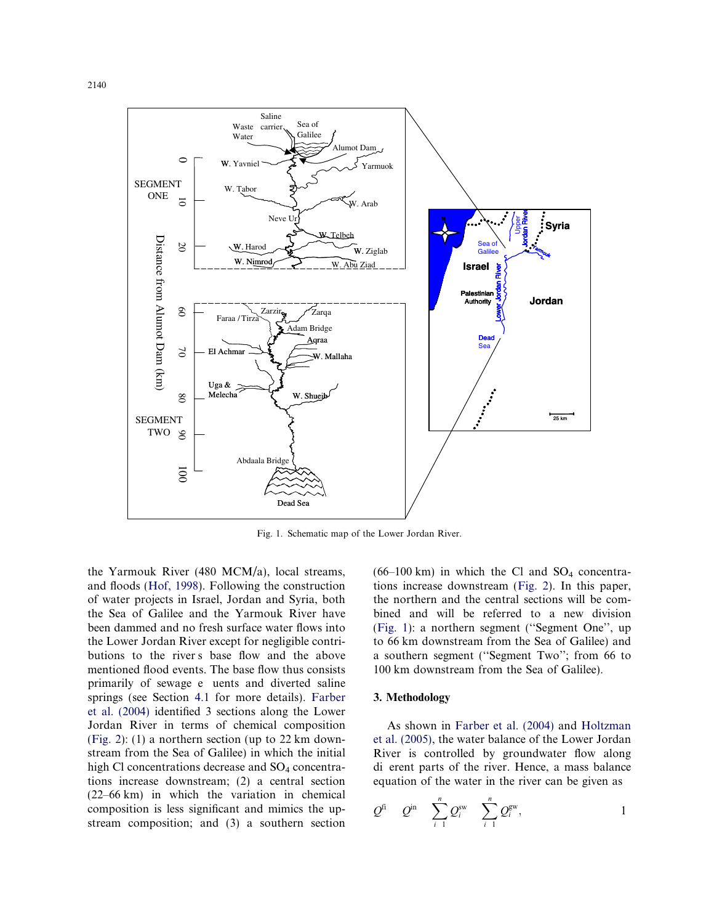

Fig. 1. Schematic map of the Lower Jordan River.

 butions to the river s base flow and the above primarily of sewage e uents and diverted saline the Yarmouk River (480 MCM/a), local streams, and floods (Hof, 1998). Following the construction of water projects in Israel, Jordan and Syria, both the Sea of Galilee and the Yarmouk River have been dammed and no fresh surface water flows into the Lower Jordan River except for negligible contrimentioned flood events. The base flow thus consists springs (see Section 4.1 for more details). Farber et al. (2004) identified 3 sections along the Lower Jordan River in terms of chemical composition (Fig. 2): (1) a northern section (up to 22 km downstream from the Sea of Galilee) in which the initial high Cl concentrations decrease and  $SO_4$  concentrations increase downstream; (2) a central section (22–66 km) in which the variation in chemical composition is less significant and mimics the upstream composition; and (3) a southern section  $(66-100 \text{ km})$  in which the Cl and SO<sub>4</sub> concentrations increase downstream (Fig. 2). In this paper, the northern and the central sections will be combined and will be referred to a new division (Fig. 1): a northern segment (''Segment One'', up to 66 km downstream from the Sea of Galilee) and a southern segment (''Segment Two''; from 66 to 100 km downstream from the Sea of Galilee).

#### 3. Methodology

 di erent parts of the river. Hence, a mass balance As shown in Farber et al. (2004) and Holtzman et al. (2005), the water balance of the Lower Jordan River is controlled by groundwater flow along equation of the water in the river can be given as

$$
Q^{\text{fi}} \quad Q^{\text{in}} \quad \sum_{i=1}^{n} Q_i^{\text{sw}} \quad \sum_{i=1}^{n} Q_i^{\text{gw}}, \qquad 1
$$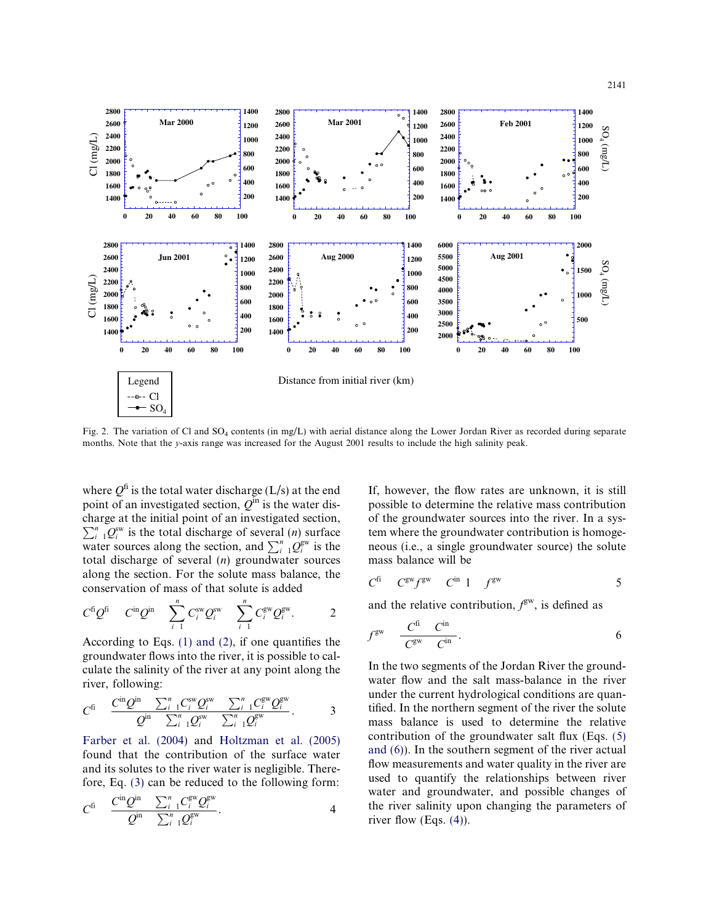

Fig. 2. The variation of Cl and  $SO_4$  contents (in mg/L) with aerial distance along the Lower Jordan River as recorded during separate months. Note that the y-axis range was increased for the August 2001 results to include the high salinity peak.

water sources along the section, and  $\sum_{i=1}^{n} Q_i^{\text{gw}}$  is the where  $Q^{\text{fi}}$  is the total water discharge (L/s) at the end point of an investigated section,  $Q^{in}$  is the water discharge at the initial point of an investigated section,  $\sum_{i=1}^{n} Q_i^{sw}$  is the total discharge of several (*n*) surface total discharge of several  $(n)$  groundwater sources along the section. For the solute mass balance, the conservation of mass of that solute is added

 $Cl \ (mg/L)$   $Cl \ (mg/L)$ 

 $\mathop{\rm Cl}\nolimits$  (mg/L)

 $Cl$  (mg/L)

 $-- - - Cl$  $\div$  SO

$$
C^{fi}Q^{fi} \quad C^{in}Q^{in} \quad \sum_{i=1}^n C_i^{sw}Q_i^{sw} \quad \sum_{i=1}^n C_i^{gw}Q_i^{gw}.
$$

According to Eqs. (1) and (2), if one quantifies the groundwater flows into the river, it is possible to calculate the salinity of the river at any point along the river, following:

$$
C^{fi} \quad \frac{C^{in}Q^{in}}{Q^{in}} \frac{\sum_{i=1}^{n} C_{i}^{sw} Q_{i}^{sw}}{\sum_{i=1}^{n} Q_{i}^{sw}} \frac{\sum_{i=1}^{n} C_{i}^{gw} Q_{i}^{gw}}{\sum_{i=1}^{n} Q_{i}^{gw}}.
$$

Farber et al. (2004) and Holtzman et al. (2005) found that the contribution of the surface water and its solutes to the river water is negligible. Therefore, Eq. (3) can be reduced to the following form:

$$
C^{fi} \quad \frac{C^{in}Q^{in}}{Q^{in}} \quad \frac{\sum_{i=1}^{n} C_{i}^{\text{gw}} Q_{i}^{\text{gw}}} {\sum_{i=1}^{n} Q_{i}^{\text{gw}}}.
$$

If, however, the flow rates are unknown, it is still possible to determine the relative mass contribution of the groundwater sources into the river. In a system where the groundwater contribution is homogeneous (i.e., a single groundwater source) the solute mass balance will be

$$
C^{fi} \tC^{gw} f^{gw} \tC^{in} 1 \tf^{gw} \t5
$$

and the relative contribution,  $f<sup>gw</sup>$ , is defined as

$$
f^{\rm gw} \quad \frac{C^{\rm fi}}{C^{\rm gw}} \quad C^{\rm in} \quad 6
$$

In the two segments of the Jordan River the groundwater flow and the salt mass-balance in the river under the current hydrological conditions are quantified. In the northern segment of the river the solute mass balance is used to determine the relative contribution of the groundwater salt flux (Eqs. (5) and (6)). In the southern segment of the river actual flow measurements and water quality in the river are used to quantify the relationships between river water and groundwater, and possible changes of the river salinity upon changing the parameters of river flow (Eqs. (4)).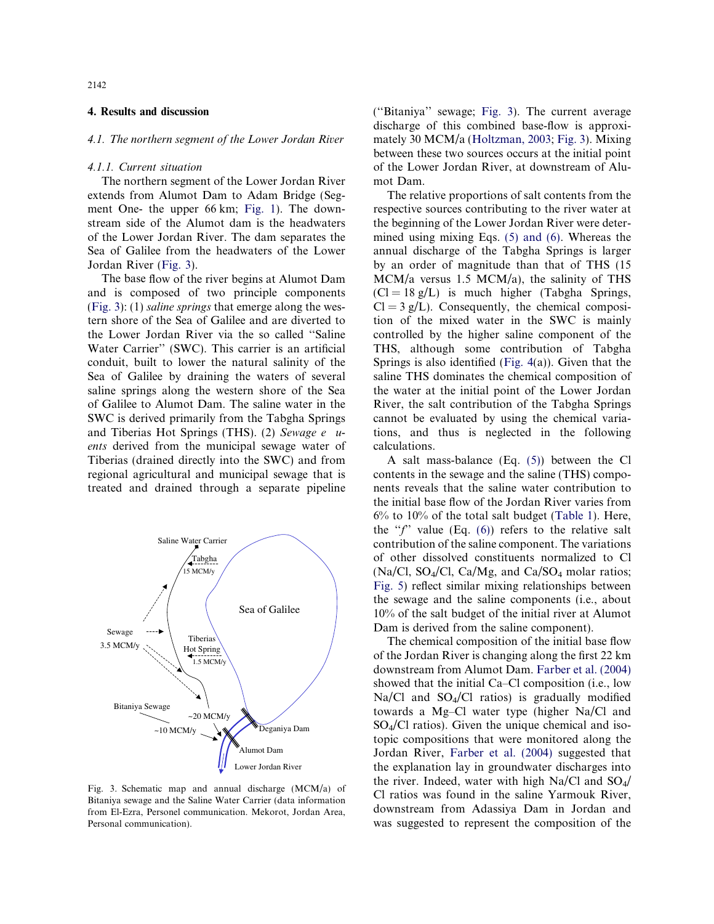#### 4. Results and discussion

#### 4.1. The northern segment of the Lower Jordan River

#### 4.1.1. Current situation

The northern segment of the Lower Jordan River extends from Alumot Dam to Adam Bridge (Segment One- the upper 66 km; Fig. 1). The downstream side of the Alumot dam is the headwaters of the Lower Jordan River. The dam separates the Sea of Galilee from the headwaters of the Lower Jordan River (Fig. 3).

and Tiberias Hot Springs (THS). (2) Sewage e u-The base flow of the river begins at Alumot Dam and is composed of two principle components (Fig. 3): (1) saline springs that emerge along the western shore of the Sea of Galilee and are diverted to the Lower Jordan River via the so called ''Saline Water Carrier'' (SWC). This carrier is an artificial conduit, built to lower the natural salinity of the Sea of Galilee by draining the waters of several saline springs along the western shore of the Sea of Galilee to Alumot Dam. The saline water in the SWC is derived primarily from the Tabgha Springs ents derived from the municipal sewage water of Tiberias (drained directly into the SWC) and from regional agricultural and municipal sewage that is treated and drained through a separate pipeline



Fig. 3. Schematic map and annual discharge (MCM/a) of Bitaniya sewage and the Saline Water Carrier (data information from El-Ezra, Personel communication. Mekorot, Jordan Area, Personal communication).

(''Bitaniya'' sewage; Fig. 3). The current average discharge of this combined base-flow is approximately 30 MCM/a (Holtzman, 2003; Fig. 3). Mixing between these two sources occurs at the initial point of the Lower Jordan River, at downstream of Alumot Dam.

The relative proportions of salt contents from the respective sources contributing to the river water at the beginning of the Lower Jordan River were determined using mixing Eqs. (5) and (6). Whereas the annual discharge of the Tabgha Springs is larger by an order of magnitude than that of THS (15 MCM/a versus 1.5 MCM/a), the salinity of THS  $(Cl = 18 \text{ g/L})$  is much higher (Tabgha Springs,  $Cl = 3 g/L$ ). Consequently, the chemical composition of the mixed water in the SWC is mainly controlled by the higher saline component of the THS, although some contribution of Tabgha Springs is also identified (Fig. 4(a)). Given that the saline THS dominates the chemical composition of the water at the initial point of the Lower Jordan River, the salt contribution of the Tabgha Springs cannot be evaluated by using the chemical variations, and thus is neglected in the following calculations.

A salt mass-balance (Eq. (5)) between the Cl contents in the sewage and the saline (THS) components reveals that the saline water contribution to the initial base flow of the Jordan River varies from 6% to 10% of the total salt budget (Table 1). Here, the " $f'$ " value (Eq. (6)) refers to the relative salt contribution of the saline component. The variations of other dissolved constituents normalized to Cl  $(Na/Cl, SO<sub>4</sub>/Cl, Ca/Mg, and Ca/SO<sub>4</sub> molar ratios;$ Fig. 5) reflect similar mixing relationships between the sewage and the saline components (i.e., about 10% of the salt budget of the initial river at Alumot Dam is derived from the saline component).

The chemical composition of the initial base flow of the Jordan River is changing along the first 22 km downstream from Alumot Dam. Farber et al. (2004) showed that the initial Ca–Cl composition (i.e., low  $Na/C1$  and  $SO_4/C1$  ratios) is gradually modified towards a Mg–Cl water type (higher Na/Cl and  $SO_4/Cl$  ratios). Given the unique chemical and isotopic compositions that were monitored along the Jordan River, Farber et al. (2004) suggested that the explanation lay in groundwater discharges into the river. Indeed, water with high Na/Cl and  $SO_4/$ Cl ratios was found in the saline Yarmouk River, downstream from Adassiya Dam in Jordan and was suggested to represent the composition of the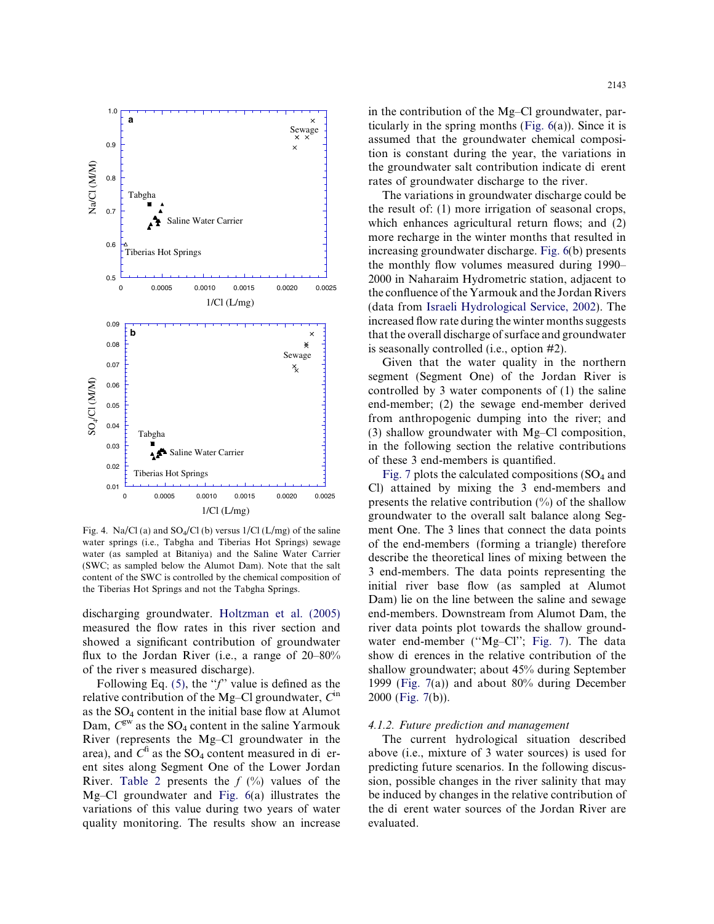

Fig. 4. Na/Cl (a) and  $SO_4/Cl$  (b) versus  $1/Cl$  (L/mg) of the saline water springs (i.e., Tabgha and Tiberias Hot Springs) sewage water (as sampled at Bitaniya) and the Saline Water Carrier (SWC; as sampled below the Alumot Dam). Note that the salt content of the SWC is controlled by the chemical composition of the Tiberias Hot Springs and not the Tabgha Springs.

 of the river s measured discharge). discharging groundwater. Holtzman et al. (2005) measured the flow rates in this river section and showed a significant contribution of groundwater flux to the Jordan River (i.e., a range of 20–80%

area), and  $C^{\text{fi}}$  as the SO<sub>4</sub> content measured in di er-Following Eq. (5), the " $f$ " value is defined as the relative contribution of the Mg–Cl groundwater,  $C^{in}$ as the  $SO_4$  content in the initial base flow at Alumot Dam,  $C^{\text{gw}}$  as the SO<sub>4</sub> content in the saline Yarmouk River (represents the Mg–Cl groundwater in the ent sites along Segment One of the Lower Jordan River. Table 2 presents the  $f(\%)$  values of the Mg–Cl groundwater and Fig. 6(a) illustrates the variations of this value during two years of water quality monitoring. The results show an increase

 the groundwater salt contribution indicate di erent in the contribution of the Mg–Cl groundwater, particularly in the spring months (Fig. 6(a)). Since it is assumed that the groundwater chemical composition is constant during the year, the variations in rates of groundwater discharge to the river.

The variations in groundwater discharge could be the result of: (1) more irrigation of seasonal crops, which enhances agricultural return flows; and (2) more recharge in the winter months that resulted in increasing groundwater discharge. Fig. 6(b) presents the monthly flow volumes measured during 1990– 2000 in Naharaim Hydrometric station, adjacent to the confluence of the Yarmouk and the Jordan Rivers (data from Israeli Hydrological Service, 2002). The increased flow rate during the winter months suggests that the overall discharge of surface and groundwater is seasonally controlled (i.e., option #2).

Given that the water quality in the northern segment (Segment One) of the Jordan River is controlled by 3 water components of (1) the saline end-member; (2) the sewage end-member derived from anthropogenic dumping into the river; and (3) shallow groundwater with Mg–Cl composition, in the following section the relative contributions of these 3 end-members is quantified.

 of the end-members (forming a triangle) therefore show di erences in the relative contribution of the Fig. 7 plots the calculated compositions  $(SO<sub>4</sub>$  and Cl) attained by mixing the 3 end-members and presents the relative contribution  $(\%)$  of the shallow groundwater to the overall salt balance along Segment One. The 3 lines that connect the data points describe the theoretical lines of mixing between the 3 end-members. The data points representing the initial river base flow (as sampled at Alumot Dam) lie on the line between the saline and sewage end-members. Downstream from Alumot Dam, the river data points plot towards the shallow groundwater end-member ("Mg-Cl"; Fig. 7). The data shallow groundwater; about 45% during September 1999 (Fig. 7(a)) and about 80% during December 2000 (Fig. 7(b)).

#### 4.1.2. Future prediction and management

 the di erent water sources of the Jordan River are The current hydrological situation described above (i.e., mixture of 3 water sources) is used for predicting future scenarios. In the following discussion, possible changes in the river salinity that may be induced by changes in the relative contribution of evaluated.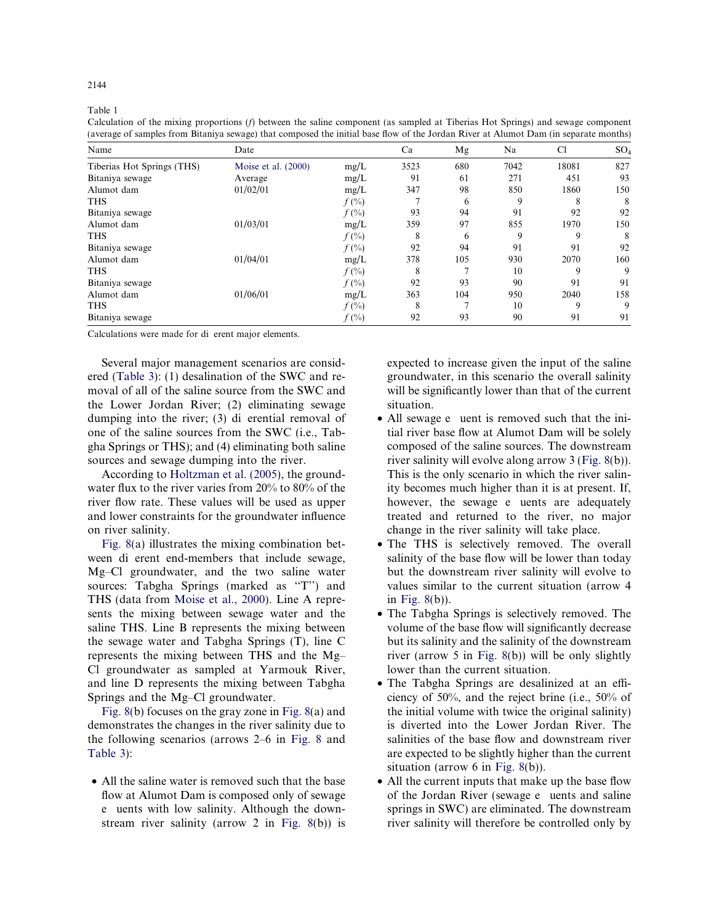Table 1

Calculation of the mixing proportions (f) between the saline component (as sampled at Tiberias Hot Springs) and sewage component (average of samples from Bitaniya sewage) that composed the initial base flow of the Jordan River at Alumot Dam (in separate months)

 $2144$ 

| Name                       | Date                  |          | Ca   | Mg  | Na   | Cl    | SO <sub>4</sub> |
|----------------------------|-----------------------|----------|------|-----|------|-------|-----------------|
| Tiberias Hot Springs (THS) | Moise et al. $(2000)$ | mg/L     | 3523 | 680 | 7042 | 18081 | 827             |
| Bitaniya sewage            | Average               | mg/L     | 91   | 61  | 271  | 451   | 93              |
| Alumot dam                 | 01/02/01              | mg/L     | 347  | 98  | 850  | 1860  | 150             |
| <b>THS</b>                 |                       | $f(\% )$ |      | 6   | 9    | 8     | 8               |
| Bitaniya sewage            |                       | $f(\%)$  | 93   | 94  | 91   | 92    | 92              |
| Alumot dam                 | 01/03/01              | mg/L     | 359  | 97  | 855  | 1970  | 150             |
| <b>THS</b>                 |                       | $f(\%)$  | 8    | 6   | 9    | 9     | 8               |
| Bitaniya sewage            |                       | $f(\% )$ | 92   | 94  | 91   | 91    | 92              |
| Alumot dam                 | 01/04/01              | mg/L     | 378  | 105 | 930  | 2070  | 160             |
| <b>THS</b>                 |                       | $f(\%)$  | 8    | ⇁   | 10   | 9     | 9               |
| Bitaniya sewage            |                       | $f(\% )$ | 92   | 93  | 90   | 91    | 91              |
| Alumot dam                 | 01/06/01              | mg/L     | 363  | 104 | 950  | 2040  | 158             |
| <b>THS</b>                 |                       | $f(\% )$ | 8    | ∽   | 10   | 9     | 9               |
| Bitaniya sewage            |                       | $f(\% )$ | 92   | 93  | 90   | 91    | 91              |

Calculations were made for di erent major elements.

 dumping into the river; (3) di erential removal of Several major management scenarios are considered (Table 3): (1) desalination of the SWC and removal of all of the saline source from the SWC and the Lower Jordan River; (2) eliminating sewage one of the saline sources from the SWC (i.e., Tabgha Springs or THS); and (4) eliminating both saline sources and sewage dumping into the river.

According to Holtzman et al. (2005), the groundwater flux to the river varies from 20% to 80% of the river flow rate. These values will be used as upper and lower constraints for the groundwater influence on river salinity.

 ween di erent end-members that include sewage, Fig. 8(a) illustrates the mixing combination bet-Mg–Cl groundwater, and the two saline water sources: Tabgha Springs (marked as "T") and THS (data from Moise et al., 2000). Line A represents the mixing between sewage water and the saline THS. Line B represents the mixing between the sewage water and Tabgha Springs (T), line C represents the mixing between THS and the Mg– Cl groundwater as sampled at Yarmouk River, and line D represents the mixing between Tabgha Springs and the Mg–Cl groundwater.

Fig. 8(b) focuses on the gray zone in Fig. 8(a) and demonstrates the changes in the river salinity due to the following scenarios (arrows 2–6 in Fig. 8 and Table 3):

 e uents with low salinity. Although the down-• All the saline water is removed such that the base flow at Alumot Dam is composed only of sewage stream river salinity (arrow 2 in Fig. 8(b)) is

expected to increase given the input of the saline groundwater, in this scenario the overall salinity will be significantly lower than that of the current situation.

- All sewage e uent is removed such that the ini however, the sewage e uents are adequately tial river base flow at Alumot Dam will be solely composed of the saline sources. The downstream river salinity will evolve along arrow 3 (Fig. 8(b)). This is the only scenario in which the river salinity becomes much higher than it is at present. If, treated and returned to the river, no major change in the river salinity will take place.
- The THS is selectively removed. The overall salinity of the base flow will be lower than today but the downstream river salinity will evolve to values similar to the current situation (arrow 4 in Fig. 8(b)).
- The Tabgha Springs is selectively removed. The volume of the base flow will significantly decrease but its salinity and the salinity of the downstream river (arrow 5 in Fig. 8(b)) will be only slightly lower than the current situation.
- The Tabgha Springs are desalinized at an efficiency of 50%, and the reject brine (i.e., 50% of the initial volume with twice the original salinity) is diverted into the Lower Jordan River. The salinities of the base flow and downstream river are expected to be slightly higher than the current situation (arrow 6 in Fig. 8(b)).
- of the Jordan River (sewage e uents and saline • All the current inputs that make up the base flow springs in SWC) are eliminated. The downstream river salinity will therefore be controlled only by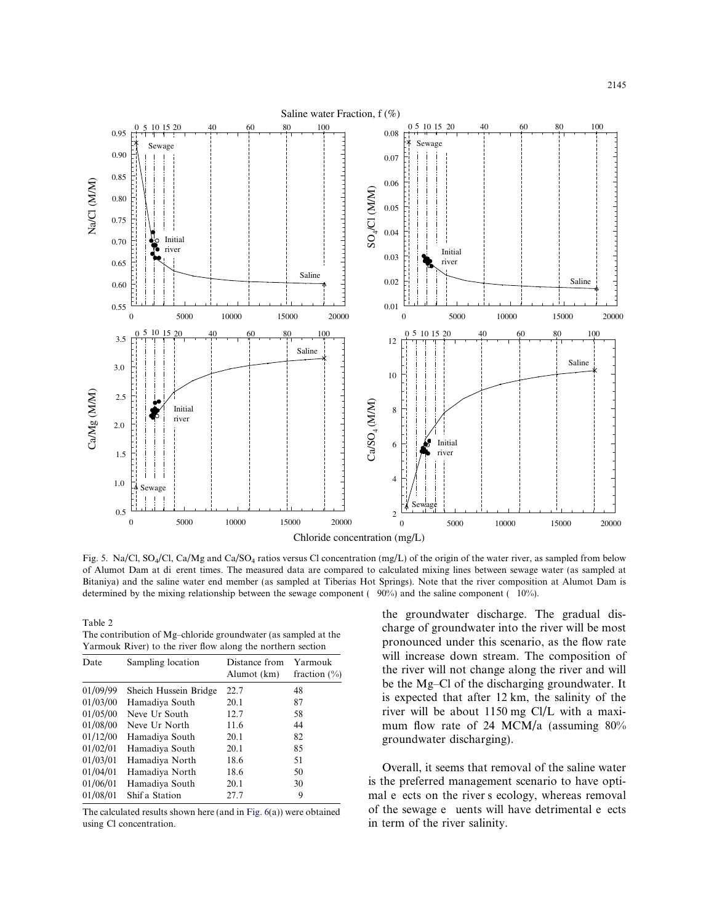

 of Alumot Dam at di erent times. The measured data are compared to calculated mixing lines between sewage water (as sampled at determined by the mixing relationship between the sewage component  $(90\%)$  and the saline component  $(10\%)$ . Fig. 5. Na/Cl, SO<sub>4</sub>/Cl, Ca/Mg and Ca/SO<sub>4</sub> ratios versus Cl concentration (mg/L) of the origin of the water river, as sampled from below Bitaniya) and the saline water end member (as sampled at Tiberias Hot Springs). Note that the river composition at Alumot Dam is

| Date     | Sampling location     | Distance from<br>Alumot (km) | Yarmouk<br>fraction $(\% )$ | will increase down stream. The composition of<br>the river will not change along the river and will |
|----------|-----------------------|------------------------------|-----------------------------|-----------------------------------------------------------------------------------------------------|
| 01/09/99 | Sheich Hussein Bridge | 22.7                         | 48                          | be the Mg–Cl of the discharging groundwater. It                                                     |
| 01/03/00 | Hamadiya South        | 20.1                         | 87                          | is expected that after 12 km, the salinity of the                                                   |
| 01/05/00 | Neve Ur South         | 12.7                         | 58                          | river will be about 1150 mg Cl/L with a maxi-                                                       |
| 01/08/00 | Neve Ur North         | 11.6                         | 44                          | mum flow rate of 24 MCM/a (assuming $80\%$                                                          |
| 01/12/00 | Hamadiya South        | 20.1                         | 82                          | groundwater discharging).                                                                           |
| 01/02/01 | Hamadiya South        | 20.1                         | 85                          |                                                                                                     |
| 01/03/01 | Hamadiya North        | 18.6                         | 51                          |                                                                                                     |
| 01/04/01 | Hamadiya North        | 18.6                         | 50                          | Overall, it seems that removal of the saline water                                                  |
| 01/06/01 | Hamadiya South        | 20.1                         | 30                          | is the preferred management scenario to have opti-                                                  |
| 01/08/01 | Shif a Station        | 27.7                         | 9                           | mal e ects on the river s ecology, whereas removal                                                  |

The calculated results shown here (and in Fig.  $6(a)$ ) were obtained using Cl concentration. in term of the river salinity.

the groundwater discharge. The gradual dis-Table 2<br>The contribution of Mg-chloride groundwater (as sampled at the<br>
Yarmouk River) to the river flow along the northern section<br>
Yarmouk River) to the river flow along the northern section<br>
will increase down stream. T the river will not change along the river and will be the Mg-Cl of the discharging groundwater. It is expected that after  $12 \text{ km}$ , the salinity of the river will be about  $1150$  mg Cl/L with a maximum flow rate of 24 MCM/a (assuming  $80\%$ groundwater discharging).

> of the sewage e uents will have detrimental e ects Overall, it seems that removal of the saline water is the preferred management scenario to have opti-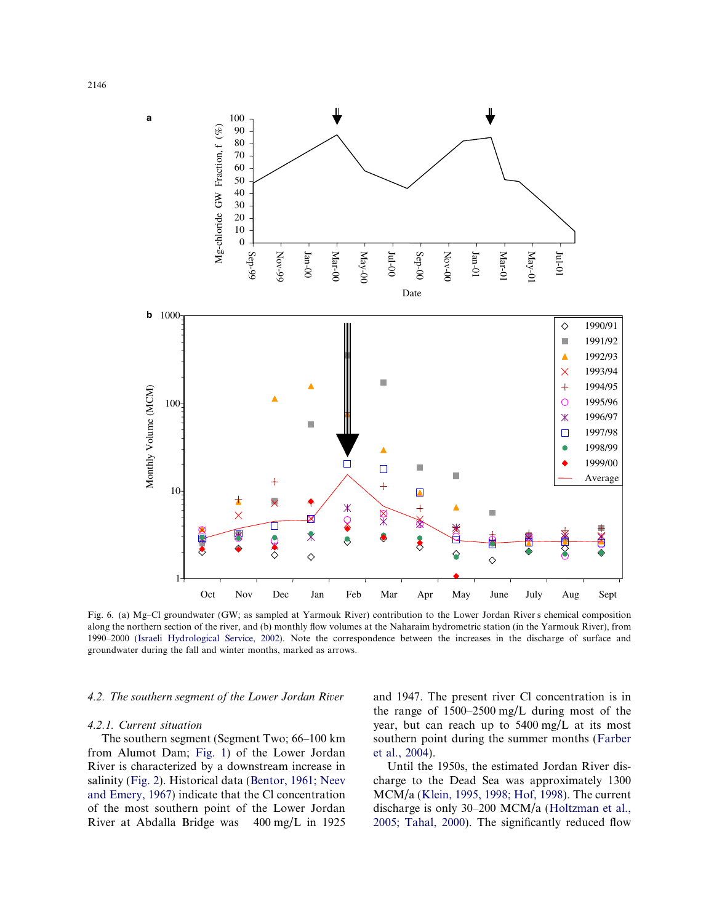

 Fig. 6. (a) Mg–Cl groundwater (GW; as sampled at Yarmouk River) contribution to the Lower Jordan River s chemical composition along the northern section of the river, and (b) monthly flow volumes at the Naharaim hydrometric station (in the Yarmouk River), from 1990–2000 (Israeli Hydrological Service, 2002). Note the correspondence between the increases in the discharge of surface and groundwater during the fall and winter months, marked as arrows.

#### 4.2. The southern segment of the Lower Jordan River

#### 4.2.1. Current situation

 River at Abdalla Bridge was 400 mg/L in 1925 The southern segment (Segment Two; 66–100 km from Alumot Dam; Fig. 1) of the Lower Jordan River is characterized by a downstream increase in salinity (Fig. 2). Historical data (Bentor, 1961; Neev and Emery, 1967) indicate that the Cl concentration of the most southern point of the Lower Jordan and 1947. The present river Cl concentration is in the range of 1500–2500 mg/L during most of the year, but can reach up to 5400 mg/L at its most southern point during the summer months (Farber et al., 2004).

Until the 1950s, the estimated Jordan River discharge to the Dead Sea was approximately 1300 MCM/a (Klein, 1995, 1998; Hof, 1998). The current discharge is only 30–200 MCM/a (Holtzman et al., 2005; Tahal, 2000). The significantly reduced flow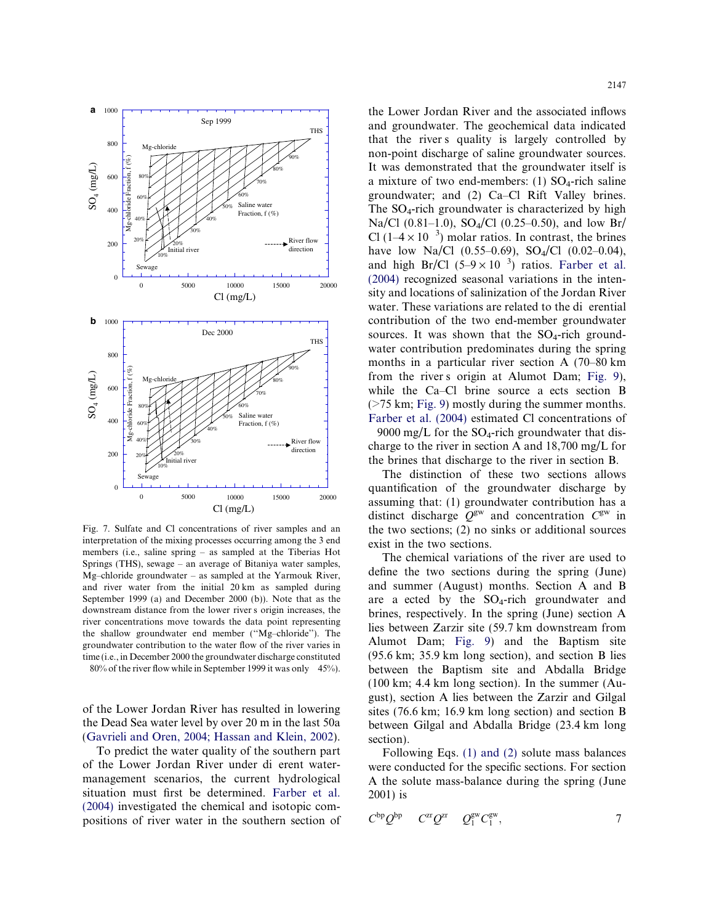

 downstream distance from the lower river s origin increases, the 80% of the river flow while in September 1999 it was only 45%). Fig. 7. Sulfate and Cl concentrations of river samples and an interpretation of the mixing processes occurring among the 3 end members (i.e., saline spring – as sampled at the Tiberias Hot Springs (THS), sewage – an average of Bitaniya water samples, Mg–chloride groundwater – as sampled at the Yarmouk River, and river water from the initial 20 km as sampled during September 1999 (a) and December 2000 (b)). Note that as the river concentrations move towards the data point representing the shallow groundwater end member (''Mg–chloride''). The groundwater contribution to the water flow of the river varies in time (i.e., in December 2000 the groundwater discharge constituted

of the Lower Jordan River has resulted in lowering the Dead Sea water level by over 20 m in the last 50a (Gavrieli and Oren, 2004; Hassan and Klein, 2002).

 of the Lower Jordan River under di erent water-To predict the water quality of the southern part management scenarios, the current hydrological situation must first be determined. Farber et al. (2004) investigated the chemical and isotopic compositions of river water in the southern section of

 that the river s quality is largely controlled by Cl (1–4  $\times$  10<sup>-3</sup>) molar ratios. In contrast, the brines and high Br/Cl  $(5-9 \times 10^{-3})$  ratios. Farber et al. water. These variations are related to the di erential from the river s origin at Alumot Dam; Fig. 9), while the Ca–Cl brine source a ects section B  $\mathbb{R}^2$ and groundwater. The geochemical data indicated non-point discharge of saline groundwater sources. It was demonstrated that the groundwater itself is a mixture of two end-members: (1)  $SO_4$ -rich saline groundwater; and (2) Ca–Cl Rift Valley brines. The  $SO_4$ -rich groundwater is characterized by high Na/Cl (0.81–1.0), SO<sub>4</sub>/Cl (0.25–0.50), and low Br/ have low Na/Cl  $(0.55-0.69)$ , SO<sub>4</sub>/Cl  $(0.02-0.04)$ , (2004) recognized seasonal variations in the inten- $\frac{15000}{\text{CI (mg/L)}}$   $\frac{20000}{\text{SI (mg/L)}}$  sity and locations of salinization of the Jordan River sources. It was shown that the  $SO_4$ -rich groundwater contribution predominates during the spring months in a particular river section A (70–80 km (>75 km; Fig. 9) mostly during the summer months. Farber et al. (2004) estimated Cl concentrations of 9000 mg/L for the  $SO_4$ -rich groundwater that discharge to the river in section A and 18,700 mg/L for the brines that discharge to the river in section B.

> The distinction of these two sections allows quantification of the groundwater discharge by assuming that: (1) groundwater contribution has a distinct discharge  $Q^{\text{gw}}$  and concentration  $C^{\text{gw}}$  in the two sections; (2) no sinks or additional sources exist in the two sections.

> are a ected by the  $SO_4$ -rich groundwater and The chemical variations of the river are used to define the two sections during the spring (June) and summer (August) months. Section A and B brines, respectively. In the spring (June) section A lies between Zarzir site (59.7 km downstream from Alumot Dam; Fig. 9) and the Baptism site (95.6 km; 35.9 km long section), and section B lies between the Baptism site and Abdalla Bridge (100 km; 4.4 km long section). In the summer (August), section A lies between the Zarzir and Gilgal sites (76.6 km; 16.9 km long section) and section B between Gilgal and Abdalla Bridge (23.4 km long section).

> Following Eqs. (1) and (2) solute mass balances were conducted for the specific sections. For section A the solute mass-balance during the spring (June 2001) is

$$
C^{\rm bp} Q^{\rm bp} \quad C^{\rm zr} Q^{\rm zr} \quad Q_1^{\rm gw} C_1^{\rm gw}, \tag{7}
$$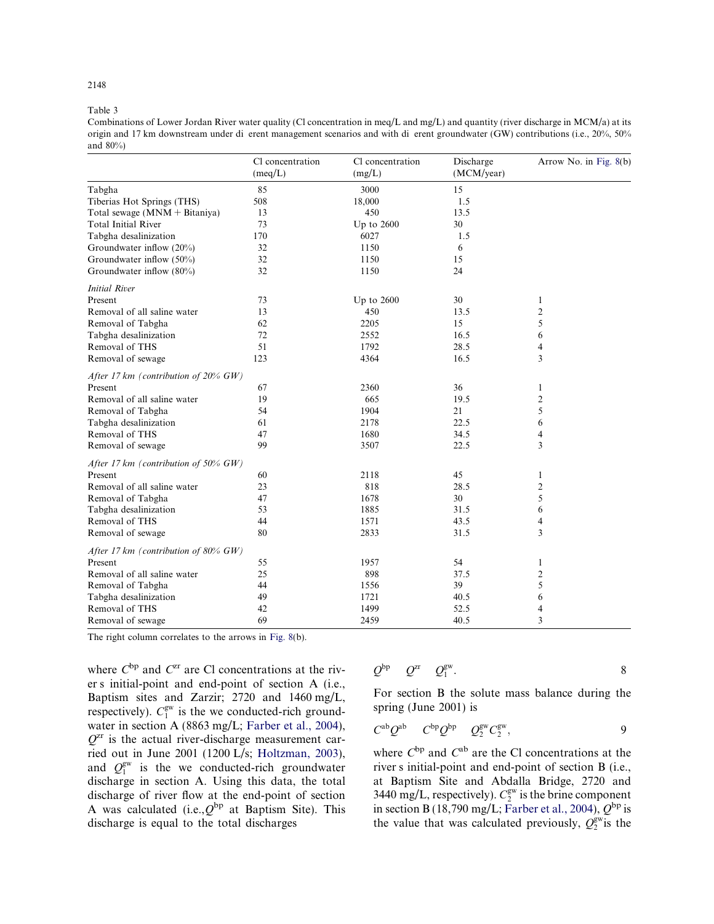#### Table 3

 origin and 17 km downstream under di erent management scenarios and with di erent groundwater (GW) contributions (i.e., 20%, 50% Combinations of Lower Jordan River water quality (Cl concentration in meq/L and mg/L) and quantity (river discharge in MCM/a) at its and 80%)

|                                         | Cl concentration<br>(meq/L) | Cl concentration<br>(mg/L) | Discharge<br>(MCM/year) | Arrow No. in Fig. 8(b) |
|-----------------------------------------|-----------------------------|----------------------------|-------------------------|------------------------|
| Tabgha                                  | 85                          | 3000                       | 15                      |                        |
| Tiberias Hot Springs (THS)              | 508                         | 18,000                     | 1.5                     |                        |
| Total sewage $(MNM + Bitaniya)$         | 13                          | 450                        | 13.5                    |                        |
| <b>Total Initial River</b>              | 73                          | Up to $2600$               | 30                      |                        |
| Tabgha desalinization                   | 170                         | 6027                       | 1.5                     |                        |
| Groundwater inflow (20%)                | 32                          | 1150                       | 6                       |                        |
| Groundwater inflow (50%)                | 32                          | 1150                       | 15                      |                        |
| Groundwater inflow (80%)                | 32                          | 1150                       | 24                      |                        |
| <b>Initial River</b>                    |                             |                            |                         |                        |
| Present                                 | 73                          | Up to $2600$               | 30                      | 1                      |
| Removal of all saline water             | 13                          | 450                        | 13.5                    | $\overline{c}$         |
| Removal of Tabgha                       | 62                          | 2205                       | 15                      | 5                      |
| Tabgha desalinization                   | 72                          | 2552                       | 16.5                    | 6                      |
| Removal of THS                          | 51                          | 1792                       | 28.5                    | 4                      |
| Removal of sewage                       | 123                         | 4364                       | 16.5                    | 3                      |
| After 17 km (contribution of $20\%$ GW) |                             |                            |                         |                        |
| Present                                 | 67                          | 2360                       | 36                      | 1                      |
| Removal of all saline water             | 19                          | 665                        | 19.5                    | $\overline{c}$         |
| Removal of Tabgha                       | 54                          | 1904                       | 21                      | 5                      |
| Tabgha desalinization                   | 61                          | 2178                       | 22.5                    | 6                      |
| Removal of THS                          | 47                          | 1680                       | 34.5                    | 4                      |
| Removal of sewage                       | 99                          | 3507                       | 22.5                    | 3                      |
| After 17 km (contribution of 50% $GW$ ) |                             |                            |                         |                        |
| Present                                 | 60                          | 2118                       | 45                      | 1                      |
| Removal of all saline water             | 23                          | 818                        | 28.5                    | $\overline{c}$         |
| Removal of Tabgha                       | 47                          | 1678                       | 30                      | 5                      |
| Tabgha desalinization                   | 53                          | 1885                       | 31.5                    | 6                      |
| Removal of THS                          | 44                          | 1571                       | 43.5                    | 4                      |
| Removal of sewage                       | 80                          | 2833                       | 31.5                    | 3                      |
| After 17 km (contribution of $80\%$ GW) |                             |                            |                         |                        |
| Present                                 | 55                          | 1957                       | 54                      | 1                      |
| Removal of all saline water             | 25                          | 898                        | 37.5                    | $\overline{c}$         |
| Removal of Tabgha                       | 44                          | 1556                       | 39                      | 5                      |
| Tabgha desalinization                   | 49                          | 1721                       | 40.5                    | 6                      |
| Removal of THS                          | 42                          | 1499                       | 52.5                    | 4                      |
| Removal of sewage                       | 69                          | 2459                       | 40.5                    | 3                      |

The right column correlates to the arrows in Fig. 8(b).

 er s initial-point and end-point of section A (i.e., where  $C^{bp}$  and  $C^{cr}$  are Cl concentrations at the riv-Baptism sites and Zarzir; 2720 and 1460 mg/L, respectively).  $C_1^{\text{gw}}$  is the we conducted-rich groundwater in section A (8863 mg/L; Farber et al., 2004),  $Q^{zr}$  is the actual river-discharge measurement carried out in June 2001 (1200 L/s; Holtzman, 2003), and  $Q_1^{\text{gw}}$  is the we conducted-rich groundwater discharge in section A. Using this data, the total discharge of river flow at the end-point of section A was calculated (i.e.,  $Q^{bp}$  at Baptism Site). This discharge is equal to the total discharges

$$
Q^{\text{bp}} \quad Q^{\text{2r}} \quad Q_1^{\text{gw}}.
$$

For section B the solute mass balance during the spring (June 2001) is

$$
C^{ab}Q^{ab} \qquad C^{bp}Q^{bp} \qquad Q_2^{gw}C_2^{gw}, \qquad \qquad 9
$$

 river s initial-point and end-point of section B (i.e., where  $C^{bp}$  and  $C^{ab}$  are the Cl concentrations at the at Baptism Site and Abdalla Bridge, 2720 and 3440 mg/L, respectively).  $C_2^{\text{gw}}$  is the brine component in section B (18,790 mg/L; Farber et al., 2004),  $Q^{bp}$  is the value that was calculated previously,  $Q_2^{\text{gw}}$  is the

 $2148$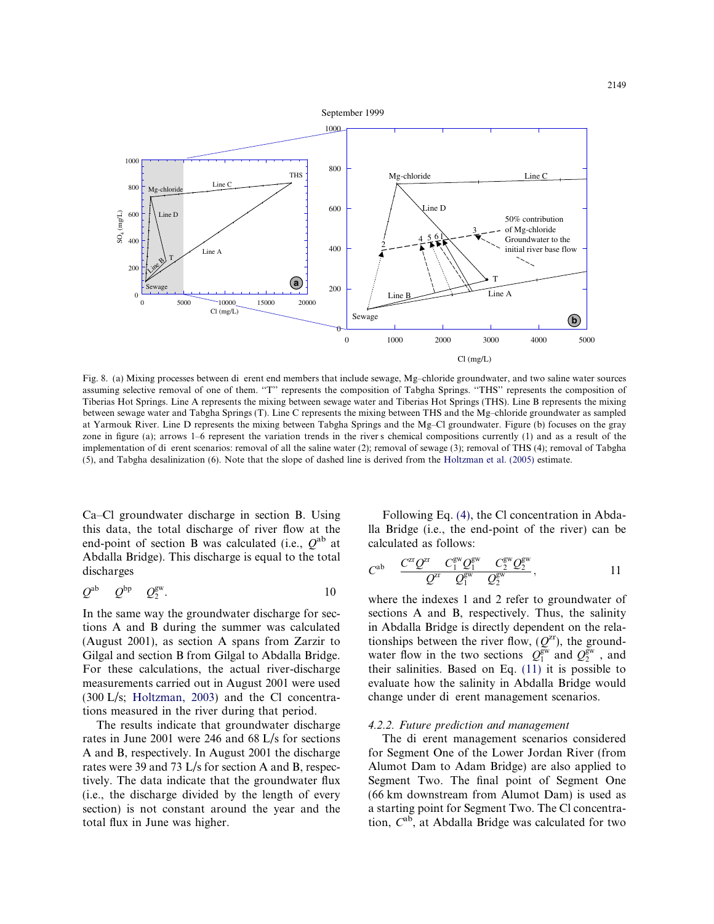

 Fig. 8. (a) Mixing processes between di erent end members that include sewage, Mg–chloride groundwater, and two saline water sources zone in figure (a); arrows 1–6 represent the variation trends in the river s chemical compositions currently (1) and as a result of the implementation of di erent scenarios: removal of all the saline water (2); removal of sewage (3); removal of THS (4); removal of Tabgha assuming selective removal of one of them. "T" represents the composition of Tabgha Springs. "THS" represents the composition of Tiberias Hot Springs. Line A represents the mixing between sewage water and Tiberias Hot Springs (THS). Line B represents the mixing between sewage water and Tabgha Springs (T). Line C represents the mixing between THS and the Mg–chloride groundwater as sampled at Yarmouk River. Line D represents the mixing between Tabgha Springs and the Mg–Cl groundwater. Figure (b) focuses on the gray (5), and Tabgha desalinization (6). Note that the slope of dashed line is derived from the Holtzman et al. (2005) estimate.

Ca–Cl groundwater discharge in section B. Using this data, the total discharge of river flow at the end-point of section B was calculated (i.e.,  $Q^{ab}$  at Abdalla Bridge). This discharge is equal to the total discharges

$$
Q^{\rm ab} \qquad Q^{\rm bp} \qquad Q_2^{\rm gw}. \tag{10}
$$

In the same way the groundwater discharge for sections A and B during the summer was calculated (August 2001), as section A spans from Zarzir to Gilgal and section B from Gilgal to Abdalla Bridge. For these calculations, the actual river-discharge measurements carried out in August 2001 were used (300 L/s; Holtzman, 2003) and the Cl concentrations measured in the river during that period.

The results indicate that groundwater discharge rates in June 2001 were 246 and 68 L/s for sections A and B, respectively. In August 2001 the discharge rates were 39 and 73 L/s for section A and B, respectively. The data indicate that the groundwater flux (i.e., the discharge divided by the length of every section) is not constant around the year and the total flux in June was higher.

Following Eq. (4), the Cl concentration in Abdalla Bridge (i.e., the end-point of the river) can be calculated as follows:

$$
C^{ab} \quad \frac{C^{z\mathbf{r}}Q^{z\mathbf{r}}}{Q^{z\mathbf{r}}}\frac{C_1^{\mathrm{gw}}Q_1^{\mathrm{gw}}}{Q_1^{\mathrm{gw}}}\frac{C_2^{\mathrm{gw}}Q_2^{\mathrm{gw}}}{Q_2^{\mathrm{gw}}},\tag{11}
$$

water flow in the two sections  $Q_1^{\text{gw}}$  and  $Q_2^{\text{gw}}$ , and change under di erent management scenarios. where the indexes 1 and 2 refer to groundwater of sections A and B, respectively. Thus, the salinity in Abdalla Bridge is directly dependent on the relationships between the river flow,  $(Q^{zr})$ , the groundtheir salinities. Based on Eq. (11) it is possible to evaluate how the salinity in Abdalla Bridge would

#### 4.2.2. Future prediction and management

 The di erent management scenarios considered for Segment One of the Lower Jordan River (from Alumot Dam to Adam Bridge) are also applied to Segment Two. The final point of Segment One (66 km downstream from Alumot Dam) is used as a starting point for Segment Two. The Cl concentration,  $C^{ab}$ , at Abdalla Bridge was calculated for two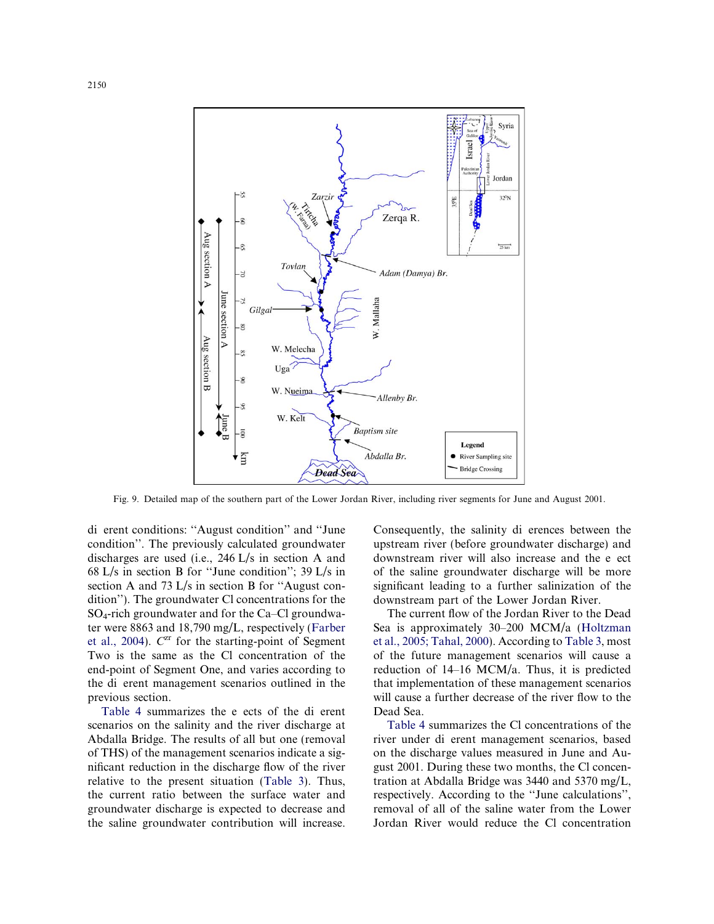

Fig. 9. Detailed map of the southern part of the Lower Jordan River, including river segments for June and August 2001.

 di erent conditions: ''August condition'' and ''June the di erent management scenarios outlined in the condition''. The previously calculated groundwater discharges are used (i.e., 246 L/s in section A and 68 L/s in section B for ''June condition''; 39 L/s in section A and 73 L/s in section B for ''August condition''). The groundwater Cl concentrations for the SO4-rich groundwater and for the Ca–Cl groundwater were 8863 and 18,790 mg/L, respectively (Farber et al., 2004).  $C^{zr}$  for the starting-point of Segment Two is the same as the Cl concentration of the end-point of Segment One, and varies according to previous section.

 Table 4 summarizes the e ects of the di erent scenarios on the salinity and the river discharge at Abdalla Bridge. The results of all but one (removal of THS) of the management scenarios indicate a significant reduction in the discharge flow of the river relative to the present situation (Table 3). Thus, the current ratio between the surface water and groundwater discharge is expected to decrease and the saline groundwater contribution will increase.

 Consequently, the salinity di erences between the downstream river will also increase and the e ect upstream river (before groundwater discharge) and of the saline groundwater discharge will be more significant leading to a further salinization of the downstream part of the Lower Jordan River.

The current flow of the Jordan River to the Dead Sea is approximately 30–200 MCM/a (Holtzman et al., 2005; Tahal, 2000). According to Table 3, most of the future management scenarios will cause a reduction of 14–16 MCM/a. Thus, it is predicted that implementation of these management scenarios will cause a further decrease of the river flow to the Dead Sea.

 river under di erent management scenarios, based Table 4 summarizes the Cl concentrations of the on the discharge values measured in June and August 2001. During these two months, the Cl concentration at Abdalla Bridge was 3440 and 5370 mg/L, respectively. According to the ''June calculations'', removal of all of the saline water from the Lower Jordan River would reduce the Cl concentration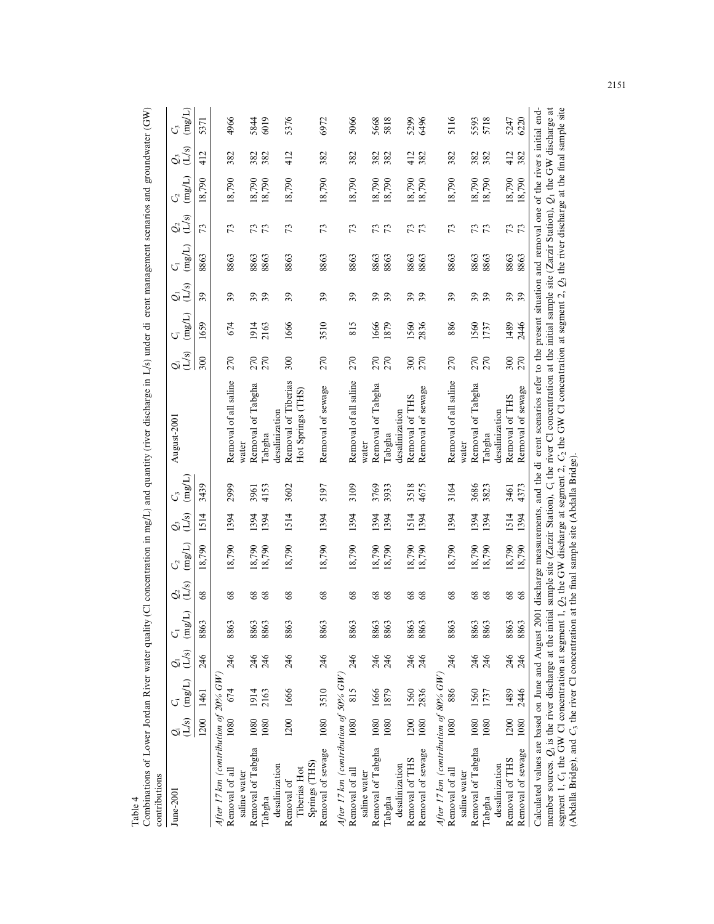| Combinations of Lower Jordan River water quality<br>contributions                      |      |                                                                                                              |     |                        |                            |                  |       |                             | (CI concentration in mg/L) and quantity (river discharge in L/s) under di                                                                                                                                                                                                                                                                      |                                           |             |                 |                                 |                | erent management scenarios and groundwater (GW) |                |              |
|----------------------------------------------------------------------------------------|------|--------------------------------------------------------------------------------------------------------------|-----|------------------------|----------------------------|------------------|-------|-----------------------------|------------------------------------------------------------------------------------------------------------------------------------------------------------------------------------------------------------------------------------------------------------------------------------------------------------------------------------------------|-------------------------------------------|-------------|-----------------|---------------------------------|----------------|-------------------------------------------------|----------------|--------------|
| June-2001                                                                              |      | $\begin{array}{ll} \underline{Q}; & \quad C_i & \quad \underline{Q}_1 \\ (L/s) & (mg/L) & (L/s) \end{array}$ |     | $(\mathrm{mg/L})$<br>G | $Q_2$<br>(L/s)             | (mg/L)<br>C2     | $Q_3$ | $\frac{C_3}{\text{(mg/L)}}$ | August-2001                                                                                                                                                                                                                                                                                                                                    | (L/s)<br>$\ddot{\mathcal{Q}}$             | (mg/L)<br>Ű | $Q_{1}$ $Q_{3}$ | $(\mathrm{mg}/\mathrm{L})$<br>G | $Q_2$<br>(L/s) | $({\rm m} {\rm g}/{\rm L})$<br>C2               | $Q_3$<br>(L/s) | (mg/L)<br>C, |
|                                                                                        |      | 1200 1461                                                                                                    | 246 | 8863                   | 8 <sup>o</sup>             | 18,790           | 1514  | 3439                        |                                                                                                                                                                                                                                                                                                                                                | 300                                       | 1659        | 39              | 8863                            | 73             | 18,790                                          | 412            | 5371         |
| After 17 km (contribution of 20% $GW$ )                                                |      |                                                                                                              |     |                        |                            |                  |       |                             |                                                                                                                                                                                                                                                                                                                                                |                                           |             |                 |                                 |                |                                                 |                |              |
| Removal of all<br>saline water                                                         | 1080 | 674                                                                                                          | 246 | 8863                   | 8 <sup>o</sup>             | 18,790           | 1394  | 2999                        | Removal of all saline<br>water                                                                                                                                                                                                                                                                                                                 | 270                                       | 674         | $\mathfrak{L}$  | 8863                            | 73             | 18,790                                          | 382            | 4966         |
| Removal of Tabgha                                                                      | 1080 | 1914                                                                                                         | 246 | 8863                   | $\boldsymbol{\mathcal{S}}$ |                  | 1394  | 3961                        | Tabgha<br>Removal of                                                                                                                                                                                                                                                                                                                           |                                           | 1914        |                 | 8863                            |                |                                                 | 382            |              |
| desalinization<br>Tabgha                                                               | 1080 | 2163                                                                                                         | 246 | 8863                   | 68                         | 18,790<br>18,790 | 1394  | 4153                        | desalinization<br>Tabgha                                                                                                                                                                                                                                                                                                                       | 270<br>270                                | 2163        | 39              | 8863                            | 73             | 18,790<br>18,790                                | 382            | 5844<br>6019 |
| Removal of                                                                             |      | 1200 1666                                                                                                    | 246 | 8863                   | 8 <sup>o</sup>             | 18,790           | 1514  | 3602                        | Removal of Tiberias                                                                                                                                                                                                                                                                                                                            | 300                                       | 1666        | 39              | 8863                            | 73             | 18,790                                          | 412            | 5376         |
| Springs (THS)<br>Tiberias Hot                                                          |      |                                                                                                              |     |                        |                            |                  |       |                             | Hot Springs (THS)                                                                                                                                                                                                                                                                                                                              |                                           |             |                 |                                 |                |                                                 |                |              |
| Removal of sewage                                                                      | 1080 | 3510                                                                                                         | 246 | 8863                   | 8 <sup>o</sup>             | 18,790           | 1394  | 5197                        | Removal of sewage                                                                                                                                                                                                                                                                                                                              | 270                                       | 3510        | 39              | 8863                            | 73             | 18,790                                          | 382            | 6972         |
| After 17 km (contribution of 50% $GW$ )                                                |      |                                                                                                              |     |                        |                            |                  |       |                             |                                                                                                                                                                                                                                                                                                                                                |                                           |             |                 |                                 |                |                                                 |                |              |
| Removal of all<br>saline water                                                         | 1080 | 815                                                                                                          | 246 | 8863                   | 68                         | 18,790           | 1394  | 3109                        | Removal of all saline<br>water                                                                                                                                                                                                                                                                                                                 | 270                                       | 815         | 39              | 8863                            | 73             | 18,790                                          | 382            | 5066         |
| Removal of Tabgha                                                                      | 1080 | 1666                                                                                                         | 246 | 8863                   | $\$$                       |                  | 1394  | 3769                        | of Tabgha<br>Removal                                                                                                                                                                                                                                                                                                                           | 270                                       | 1666        | <b>95</b><br>96 | 8863                            | 73             |                                                 | 382            | 5668<br>5818 |
| Tabgha                                                                                 | 1080 | 1879                                                                                                         | 246 | 8863                   | 68                         | 18,790<br>18,790 | 1394  | 3933                        | Tabgha                                                                                                                                                                                                                                                                                                                                         | 270                                       | 1879        |                 | 8863                            |                | 18,790<br>18,790                                | 382            |              |
| Removal of THS<br>desalinization                                                       | 1200 | 1560                                                                                                         | 246 | 8863                   | $\boldsymbol{\mathcal{S}}$ |                  | 514   | 3518                        | Removal of THS<br>desalinization                                                                                                                                                                                                                                                                                                               |                                           | 1560        |                 | 8863                            |                |                                                 | 412            |              |
| Removal of sewage                                                                      | 1080 | 2836                                                                                                         | 246 | 8863                   | 68                         | 18,790<br>18,790 | 1394  | 4675                        | Removal of sewage                                                                                                                                                                                                                                                                                                                              | $\begin{array}{c} 300 \\ 270 \end{array}$ | 2836        | 39              | 8863                            | 73             | 18,790<br>18,790                                | 382            | 5299<br>6496 |
|                                                                                        |      |                                                                                                              |     |                        |                            |                  |       |                             |                                                                                                                                                                                                                                                                                                                                                |                                           |             |                 |                                 |                |                                                 |                |              |
| After 17 km (contribution of $80\%$ GW)<br>Removal of all                              | 1080 | 886                                                                                                          | 246 | 8863                   | 8 <sup>9</sup>             | 18,790           | 1394  | 3164                        | Removal of all saline                                                                                                                                                                                                                                                                                                                          | 270                                       | 886         | 39              | 8863                            | 73             | 18,790                                          | 382            | 5116         |
| saline water                                                                           |      |                                                                                                              |     |                        |                            |                  |       |                             | water                                                                                                                                                                                                                                                                                                                                          |                                           |             |                 |                                 |                |                                                 |                |              |
| Removal of Tabgha                                                                      | 1080 | 1560                                                                                                         | 246 | 8863                   | 8 <sup>o</sup>             | 18,790           | 1394  | 3686                        | Removal of Tabgha                                                                                                                                                                                                                                                                                                                              | 270                                       | 1560        | 39              | 8863                            | 73             | 18,790                                          | 382            | 5593         |
| desalinization<br>Tabgha                                                               | 1080 | 1737                                                                                                         | 246 | 8863                   | 68                         | 18,790           | 1394  | 3823                        | desalinization<br>Tabgha                                                                                                                                                                                                                                                                                                                       | 270                                       | 1737        |                 | 8863                            |                | 18,790                                          | 382            | 5718         |
| Removal of THS                                                                         | 1200 | 1489                                                                                                         | 246 | 8863                   |                            |                  | 1514  | 3461                        | Removal of THS                                                                                                                                                                                                                                                                                                                                 |                                           | 1489        |                 | 8863                            |                | 18,790                                          | 412            | 5247         |
| Removal of sewage                                                                      | 1080 | 2446                                                                                                         | 246 | 8863                   | $rac{8}{68}$               | 18,790<br>18,790 | 1394  | 4373                        | Removal of sewage                                                                                                                                                                                                                                                                                                                              | $\frac{300}{270}$                         | 2446        | <u>ვ</u>        | 8863                            | 73             | 18,790                                          | 382            | 6220         |
| Calculated values are based on June and August 2001 discharge measurements, and the di |      |                                                                                                              |     |                        |                            |                  |       |                             | segment 1, C <sub>1</sub> the GW Cl concentration at segment 1, $Q_2$ the GW discharge at segment 2, C <sub>2</sub> the GW Cl concentration at the initial sample site (Zarzir Station), $Q_1$ the GW discharge at the GW discharge at (Abdalla B<br>erent scenarios refer to the present situation and removal one of the rivers initial end- |                                           |             |                 |                                 |                |                                                 |                |              |
|                                                                                        |      |                                                                                                              |     |                        |                            |                  |       |                             |                                                                                                                                                                                                                                                                                                                                                |                                           |             |                 |                                 |                |                                                 |                |              |

Table 4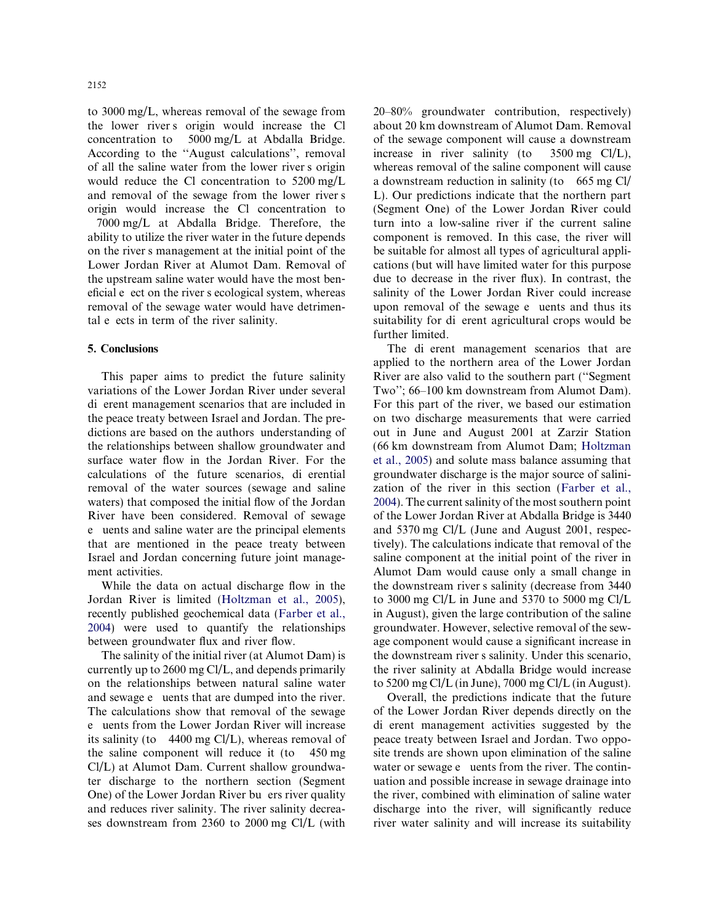the lower river s origin would increase the Cl concentration to 5000 mg/L at Abdalla Bridge. of all the saline water from the lower river s origin and removal of the sewage from the lower river s to 3000 mg/L, whereas removal of the sewage from According to the ''August calculations'', removal would reduce the Cl concentration to 5200 mg/L origin would increase the Cl concentration to

i. on the river s management at the initial point of the eficial e ect on the river s ecological system, whereas tal e ects in term of the river salinity. 7000 mg/L at Abdalla Bridge. Therefore, the ability to utilize the river water in the future depends Lower Jordan River at Alumot Dam. Removal of the upstream saline water would have the most benremoval of the sewage water would have detrimen-

#### 5. Conclusions

 di erent management scenarios that are included in dictions are based on the authors understanding of calculations of the future scenarios, di erential e uents and saline water are the principal elements This paper aims to predict the future salinity variations of the Lower Jordan River under several the peace treaty between Israel and Jordan. The prethe relationships between shallow groundwater and surface water flow in the Jordan River. For the removal of the water sources (sewage and saline waters) that composed the initial flow of the Jordan River have been considered. Removal of sewage that are mentioned in the peace treaty between Israel and Jordan concerning future joint management activities.

While the data on actual discharge flow in the Jordan River is limited (Holtzman et al., 2005), recently published geochemical data (Farber et al., 2004) were used to quantify the relationships between groundwater flux and river flow.

 and sewage e uents that are dumped into the river. e uents from the Lower Jordan River will increase its salinity (to  $4400 \text{ mg Cl/L}$ ), whereas removal of the saline component will reduce it (to 450 mg One) of the Lower Jordan River bu ers river quality The salinity of the initial river (at Alumot Dam) is currently up to 2600 mg Cl/L, and depends primarily on the relationships between natural saline water The calculations show that removal of the sewage Cl/L) at Alumot Dam. Current shallow groundwater discharge to the northern section (Segment and reduces river salinity. The river salinity decreases downstream from 2360 to 2000 mg Cl/L (with

 a downstream reduction in salinity (to 665 mg Cl/ upon removal of the sewage e uents and thus its suitability for di erent agricultural crops would be 20–80% groundwater contribution, respectively) about 20 km downstream of Alumot Dam. Removal of the sewage component will cause a downstream increase in river salinity (to  $3500 \text{ mg}$  Cl/L), whereas removal of the saline component will cause L). Our predictions indicate that the northern part (Segment One) of the Lower Jordan River could turn into a low-saline river if the current saline component is removed. In this case, the river will be suitable for almost all types of agricultural applications (but will have limited water for this purpose due to decrease in the river flux). In contrast, the salinity of the Lower Jordan River could increase further limited.

 The di erent management scenarios that are the downstream river s salinity (decrease from 3440 the downstream river s salinity. Under this scenario, applied to the northern area of the Lower Jordan River are also valid to the southern part (''Segment Two''; 66–100 km downstream from Alumot Dam). For this part of the river, we based our estimation on two discharge measurements that were carried out in June and August 2001 at Zarzir Station (66 km downstream from Alumot Dam; Holtzman et al., 2005) and solute mass balance assuming that groundwater discharge is the major source of salinization of the river in this section (Farber et al., 2004). The current salinity of the most southern point of the Lower Jordan River at Abdalla Bridge is 3440 and 5370 mg Cl/L (June and August 2001, respectively). The calculations indicate that removal of the saline component at the initial point of the river in Alumot Dam would cause only a small change in to 3000 mg Cl/L in June and 5370 to 5000 mg Cl/L in August), given the large contribution of the saline groundwater. However, selective removal of the sewage component would cause a significant increase in the river salinity at Abdalla Bridge would increase to 5200 mg Cl/L (in June), 7000 mg Cl/L (in August).

 di erent management activities suggested by the water or sewage e uents from the river. The contin-Overall, the predictions indicate that the future of the Lower Jordan River depends directly on the peace treaty between Israel and Jordan. Two opposite trends are shown upon elimination of the saline uation and possible increase in sewage drainage into the river, combined with elimination of saline water discharge into the river, will significantly reduce river water salinity and will increase its suitability